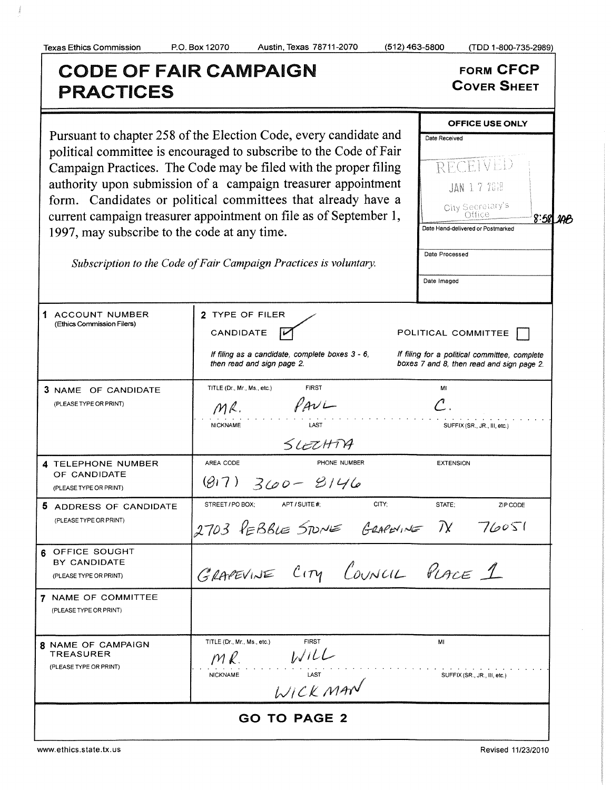## Texas Ethics Commission P.O. Box 12070 Austin, Texas 78711- 2070 ( 512) 463-5800 ( TDD 1- 800-735-2989) CODE OF FAIR CAMPAIGN<br>PRACTICES Cover Sheet OFFICE USE ONLY Pursuant to chapter 258 of the Election Code, every candidate and  $\Box$ Date Received political committee is encouraged to subscribe to the Code of Fair RECEIVED Campaign Practices. The Code may be filed with the proper filing authority upon submission of a campaign treasurer appointment  $\|\cdot\|_{\text{AAN }1.7.7008}$ form. Candidates or political committees that already have <sup>a</sup> current campaign treasurer appointment on file as of September 1,  $\bigcup_{\text{Orfice}}$  September 1,  $\bigcup_{\text{Orfice}}$  $8:581,100$ 1997, may subscribe to the code at any time. Date Hand -delivered or Postmarked Date Processed Subscription to the Code of Fair Campaign Practices is voluntary. Date Imaged 1 ACCOUNT NUMBER 2 TYPE OF FILER Ethics Commission Filers) CANDIDATE  $\overline{M}$  POLITICAL COMMITTEE If filing as a candidate, complete boxes  $3 - 6$ , If filing for a political committee, complete then read and sign page 2. boxes 7 and 8, then read and sign page 2. 3 NAME OF CANDIDATE TITLE (Dr., Mr., Ms., etc.) **FIRST** MI PLEASE TYPE OR PRINT)<br>  $MR$ .<br>
NICKNAME<br>
SLEZHTYP<br>
TELEPHONE NUMBER<br>
PREACIDE PHONE NUMBER<br>
PLEASE TYPE OR PRINT)<br>
(G) 7) 360 - 8/46<br>
PLEASE TYPE OR PRINT)<br>
AREA CODE PHONE NUMBER<br>
PLEASE TYPE OR PRINT) PLEASE TYPE OR PRINT) NICKNAME LAST SUFFIX (SR., JR., III, etc.) 4 TELEPHONE NUMBER AREA CODE PHONE NUMBER EXTENSION OF CANDIDATE 5 ADDRESS OF CANDIDATE STREET/PO BOX; APT/SUITE#, CITY; CITY; STATE; ZIP CODE PLEASE TYPE OR PRINT)  $2703$  PEBBLE STONE GRAPENINE TV 76051 6 OFFICE SOUGHT BY CANDIDATE BY CANDIDATE  $G\text{LATE}$  (PLAPEVINE CITY COUNCIL PLACE 1 7 NAME OF COMMITTEE PLEASE TYPE OR PRINT) TITLE (Dr., Mr., Ms., etc.) FIRST MI 8 NAME OF CAMPAIGN  $\frac{1}{1}$ TREASURER  $M\ell$ PLEASE TYPE OR PRINT) NICKNAME LAST SUFFIX (SR., JR., III, etc.) GO TO PAGE 2